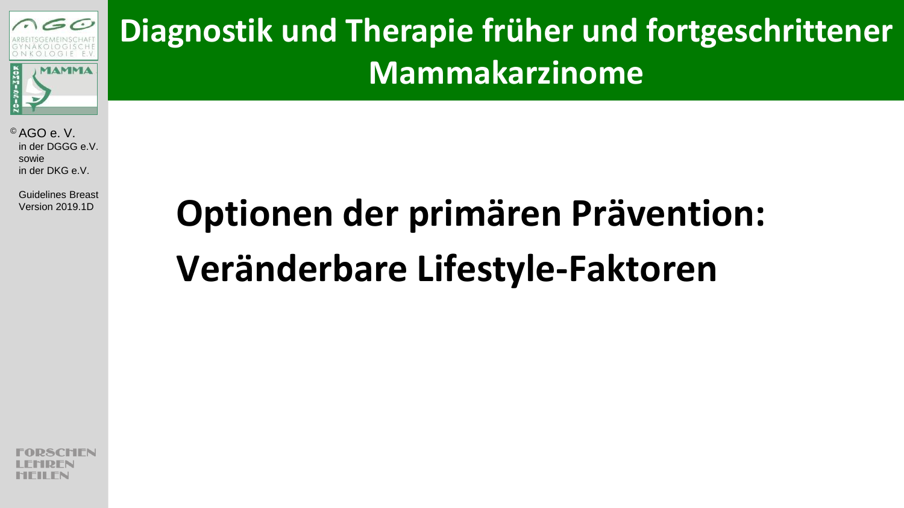

**Diagnostik und Therapie früher und fortgeschrittener Mammakarzinome**

© AGO e. V. in der DGGG e.V. sowie in der DKG e.V.

Guidelines Breast

# Version 2019.1D **Optionen der primären Prävention: Veränderbare Lifestyle-Faktoren**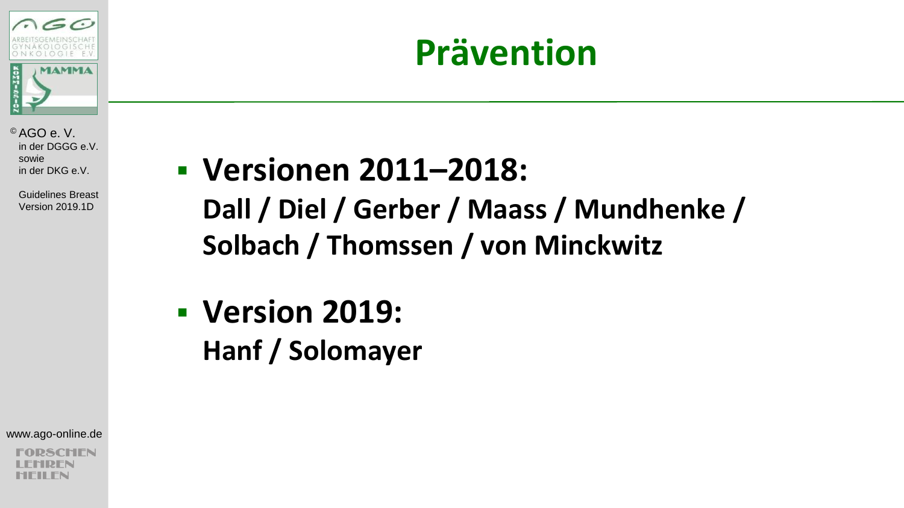

 Guidelines Breast Version 2019.1D

### **Versionen 2011–2018: Dall / Diel / Gerber / Maass / Mundhenke / Solbach / Thomssen / von Minckwitz**

### **Version 2019: Hanf / Solomayer**

www.ago-online.de

SCHIEN

### **Prävention**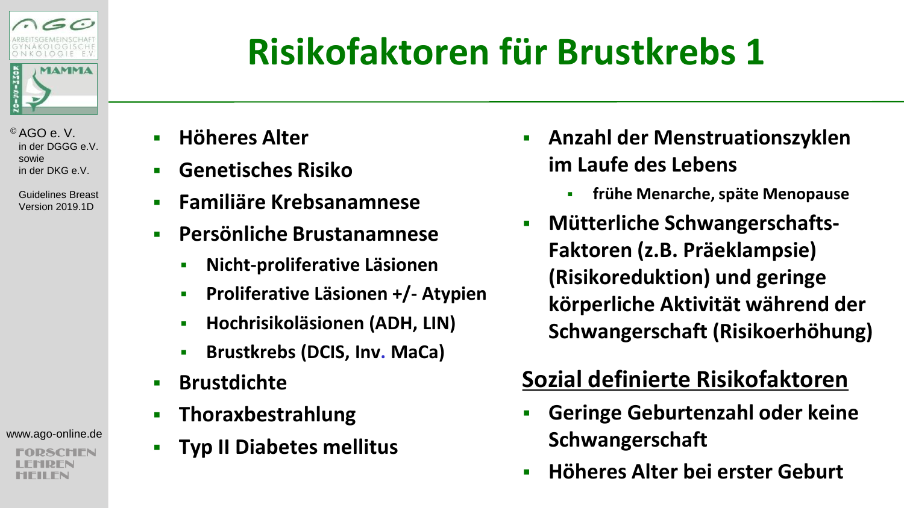

 Guidelines Breast Version 2019.1D

www.ago-online.de

CHEN

# **Risikofaktoren für Brustkrebs 1**

- **Höheres Alter**
- **Genetisches Risiko**
- **Familiäre Krebsanamnese**
- **Persönliche Brustanamnese**
	- **Nicht-proliferative Läsionen**
	- **Proliferative Läsionen +/- Atypien**
	- **Hochrisikoläsionen (ADH, LIN)**
	- **Brustkrebs (DCIS, Inv. MaCa)**
- **Brustdichte**
- **Thoraxbestrahlung**
- **Typ II Diabetes mellitus**
- **Anzahl der Menstruationszyklen im Laufe des Lebens**
	- **frühe Menarche, späte Menopause**
- **EXECUTE:** Mütterliche Schwangerschafts-**Faktoren (z.B. Präeklampsie) (Risikoreduktion) und geringe körperliche Aktivität während der Schwangerschaft (Risikoerhöhung)**

### **Sozial definierte Risikofaktoren**

- **Geringe Geburtenzahl oder keine Schwangerschaft**
- **Höheres Alter bei erster Geburt**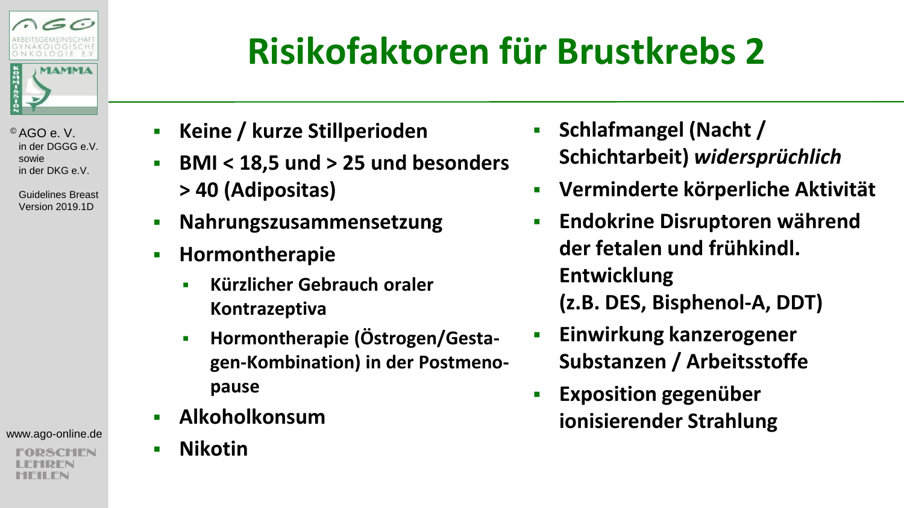

> Guidelines Breast Version 2019.1D

www.ago-online.de

SCHIFN

### **Risikofaktoren für Brustkrebs 2**

- **Keine / kurze Stillperioden**
- **BMI < 18,5 und > 25 und besonders > 40 (Adipositas)**
- **Nahrungszusammensetzung**
- **Hormontherapie**
	- **Kürzlicher Gebrauch oraler Kontrazeptiva**
	- **-** Hormontherapie (Östrogen/Gesta**gen-Kombination) in der Postmenopause**
- **Alkoholkonsum**
- **Nikotin**
- **Fig. 3 Schlafmangel (Nacht / Schichtarbeit)** *widersprüchlich*
- **Verminderte körperliche Aktivität**
- **Endokrine Disruptoren während der fetalen und frühkindl. Entwicklung (z.B. DES, Bisphenol-A, DDT)**
- **Einwirkung kanzerogener Substanzen / Arbeitsstoffe**
- **Exposition gegenüber ionisierender Strahlung**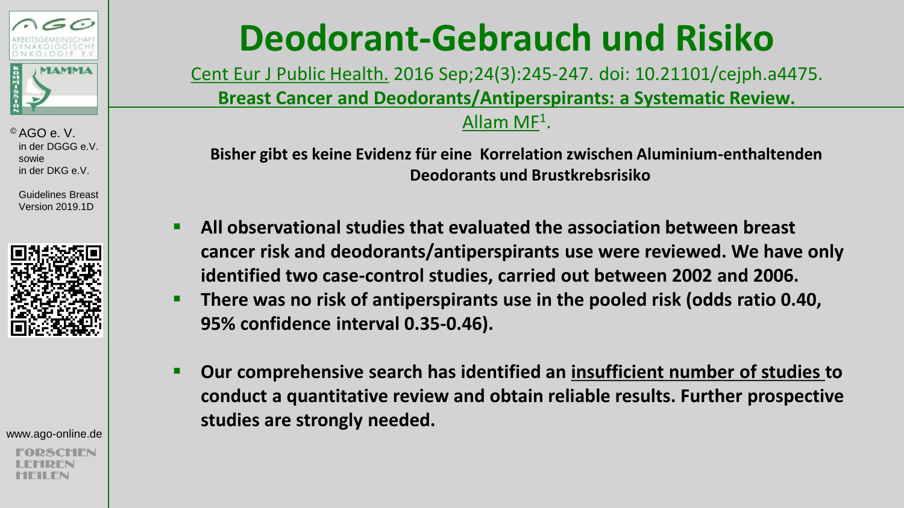

 Guidelines Breast Version 2019.1D



www.ago-online.de

### **Deodorant-Gebrauch und Risiko**

Cent Eur J Public Health. 2016 Sep;24(3):245-247. doi: 10.21101/cejph.a4475. **Breast Cancer and Deodorants/Antiperspirants: a Systematic Review.** <u>Allam MF</u><sup>1</sup>.

**Bisher gibt es keine Evidenz für eine Korrelation zwischen Aluminium-enthaltenden Deodorants und Brustkrebsrisiko**

- **All observational studies that evaluated the association between breast cancer risk and deodorants/antiperspirants use were reviewed. We have only identified two case-control studies, carried out between 2002 and 2006.**
- **There was no risk of antiperspirants use in the pooled risk (odds ratio 0.40, 95% confidence interval 0.35-0.46).**
- **Our comprehensive search has identified an insufficient number of studies to conduct a quantitative review and obtain reliable results. Further prospective studies are strongly needed.**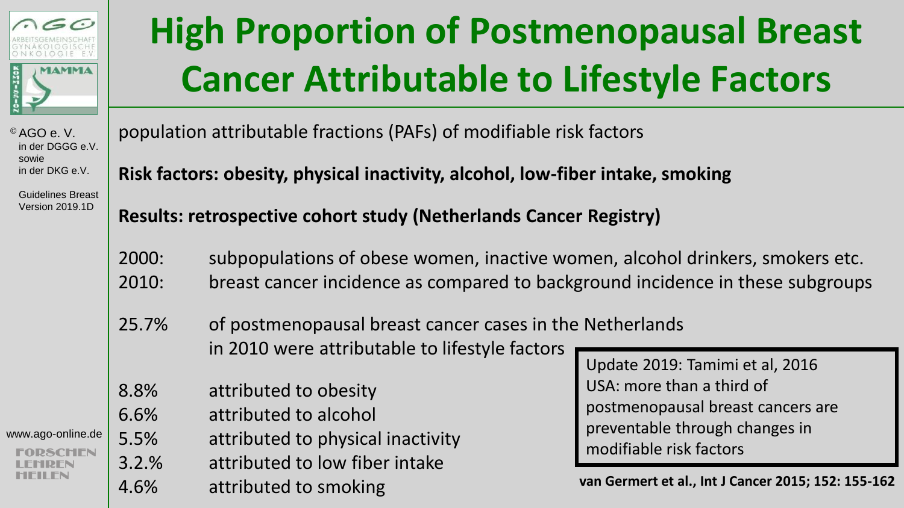

### **High Proportion of Postmenopausal Breast Cancer Attributable to Lifestyle Factors**

© AGO e. V. in der DGGG e.V. sowie in der DKG e.V.

 Guidelines Breast Version 2019.1D

www.ago-online.de

population attributable fractions (PAFs) of modifiable risk factors

**Risk factors: obesity, physical inactivity, alcohol, low-fiber intake, smoking**

**Results: retrospective cohort study (Netherlands Cancer Registry)**

2000: subpopulations of obese women, inactive women, alcohol drinkers, smokers etc. 2010: breast cancer incidence as compared to background incidence in these subgroups

25.7% of postmenopausal breast cancer cases in the Netherlands in 2010 were attributable to lifestyle factors

- 8.8% attributed to obesity
- 6.6% attributed to alcohol
- 5.5% attributed to physical inactivity
- 3.2.% attributed to low fiber intake
- 4.6% attributed to smoking

Update 2019: Tamimi et al, 2016 USA: more than a third of postmenopausal breast cancers are preventable through changes in modifiable risk factors

**van Germert et al., Int J Cancer 2015; 152: 155-162**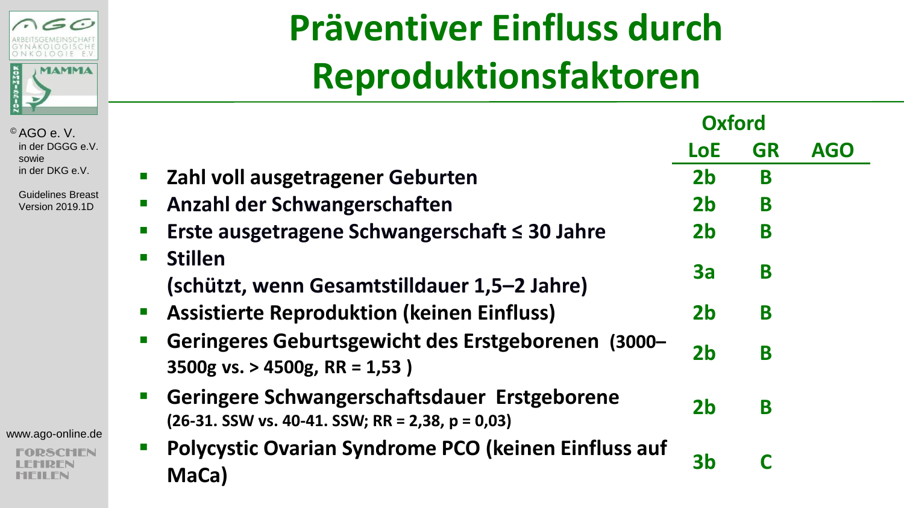

 Guidelines Breast Version 2019.1D

www.ago-online.de

**DSCHEN** 'IDFN MFII FN

## **Präventiver Einfluss durch Reproduktionsfaktoren**

|                                                                                                    | <b>Oxford</b>  |           |            |
|----------------------------------------------------------------------------------------------------|----------------|-----------|------------|
|                                                                                                    | <b>LoE</b>     | <b>GR</b> | <b>AGO</b> |
| Zahl voll ausgetragener Geburten                                                                   | 2 <sub>b</sub> | B         |            |
| Anzahl der Schwangerschaften                                                                       | 2 <sub>b</sub> | B         |            |
| Erste ausgetragene Schwangerschaft $\leq$ 30 Jahre                                                 | 2 <sub>b</sub> | B         |            |
| <b>Stillen</b><br>(schützt, wenn Gesamtstilldauer 1,5–2 Jahre)                                     | За             | B         |            |
| <b>Assistierte Reproduktion (keinen Einfluss)</b>                                                  | 2 <sub>b</sub> | B         |            |
| Geringeres Geburtsgewicht des Erstgeborenen<br>$(3000 -$<br>3500g vs. > 4500g, RR = 1,53)          | 2 <sub>b</sub> | B         |            |
| Geringere Schwangerschaftsdauer Erstgeborene<br>$(26-31.$ SSW vs. 40-41. SSW; RR = 2,38, p = 0,03) | 2 <sub>b</sub> | B         |            |
| Polycystic Ovarian Syndrome PCO (keinen Einfluss auf<br>MaCa)                                      | 3b             |           |            |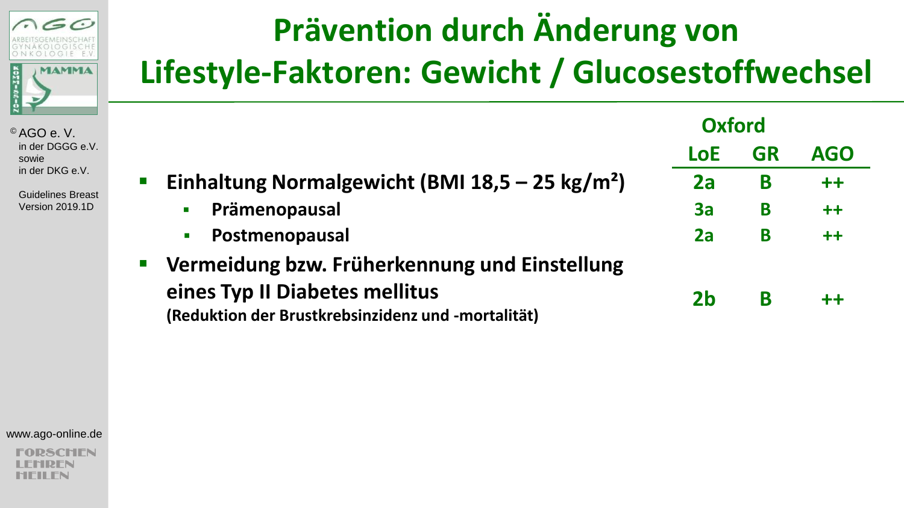

 Guidelines Breast Version 2019.1D

### **Prävention durch Änderung von Lifestyle-Faktoren: Gewicht / Glucosestoffwechsel**

|                                                             | <b>Oxford</b> |           |            |
|-------------------------------------------------------------|---------------|-----------|------------|
|                                                             | <b>LoE</b>    | <b>GR</b> | <b>AGO</b> |
| Einhaltung Normalgewicht (BMI 18,5 – 25 kg/m <sup>2</sup> ) | 2a            | B         | $++$       |
| Prämenopausal<br>$\blacksquare$                             | 3a            | B         | $++$       |
| Postmenopausal<br>a.                                        | 2a            | B         | $++$       |
| Vermeidung bzw. Früherkennung und Einstellung               |               |           |            |
| eines Typ II Diabetes mellitus                              | 2b            | B         | $++$       |
| (Reduktion der Brustkrebsinzidenz und -mortalität)          |               |           |            |

www.ago-online.de

**2SCHEN** RFN MFII FN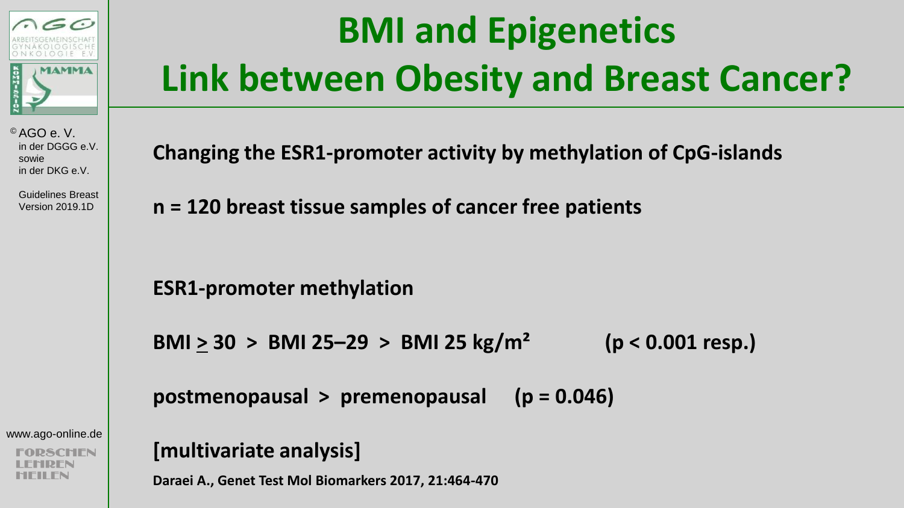

 Guidelines Breast Version 2019.1D

www.ago-online.de

CHEN

## **BMI and Epigenetics Link between Obesity and Breast Cancer?**

**Changing the ESR1-promoter activity by methylation of CpG-islands**

**n = 120 breast tissue samples of cancer free patients**

**ESR1-promoter methylation**

**BMI > 30 > BMI 25–29 > BMI 25 kg/m² (p < 0.001 resp.)**

**postmenopausal > premenopausal (p = 0.046)**

**[multivariate analysis]**

**Daraei A., Genet Test Mol Biomarkers 2017, 21:464-470**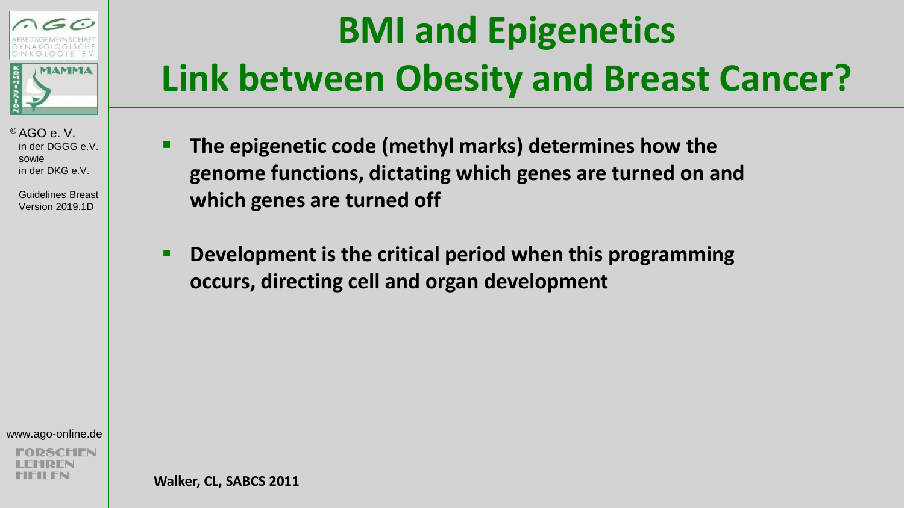

 Guidelines Breast Version 2019.1D

## **BMI and Epigenetics Link between Obesity and Breast Cancer?**

- **The epigenetic code (methyl marks) determines how the genome functions, dictating which genes are turned on and which genes are turned off**
- **Development is the critical period when this programming occurs, directing cell and organ development**

www.ago-online.de

**Walker, CL, SABCS 2011**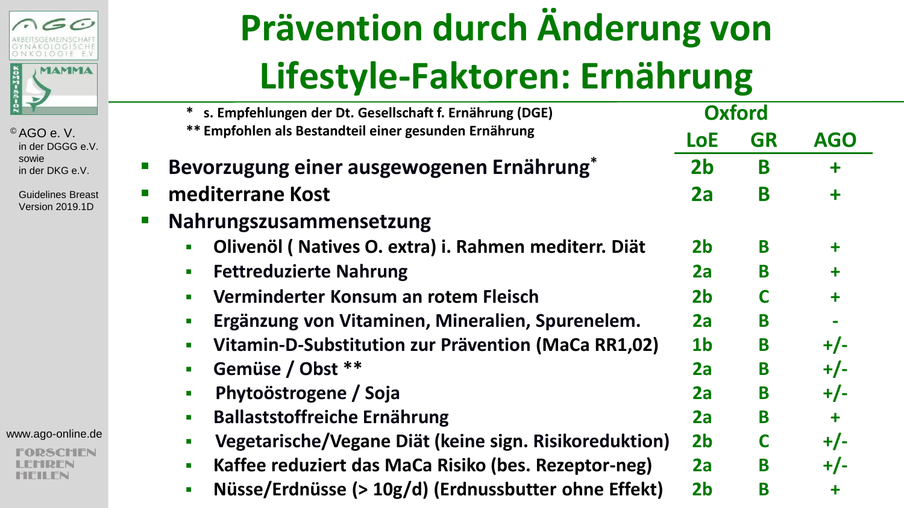

> Guidelines Breast Version 2019.1D

www.ago-online.de

**PSCHEN** RFN MFII FN

## **Prävention durch Änderung von Lifestyle-Faktoren: Ernährung**

|    | <b>Oxford</b><br>s. Empfehlungen der Dt. Gesellschaft f. Ernährung (DGE) |                |           |            |  |
|----|--------------------------------------------------------------------------|----------------|-----------|------------|--|
|    | ** Empfohlen als Bestandteil einer gesunden Ernährung                    | LoE            | <b>GR</b> | <b>AGO</b> |  |
|    | Bevorzugung einer ausgewogenen Ernährung*                                | 2 <sub>b</sub> | B         | ╋          |  |
| П  | mediterrane Kost                                                         | 2a             | B         | ╋          |  |
| a. | Nahrungszusammensetzung                                                  |                |           |            |  |
|    | Olivenöl (Natives O. extra) i. Rahmen mediterr. Diät                     | 2 <sub>b</sub> | B         | ╇          |  |
|    | <b>Fettreduzierte Nahrung</b>                                            | 2a             | B         | ╋          |  |
|    | Verminderter Konsum an rotem Fleisch                                     | 2b             | C         | $\ddagger$ |  |
|    | Ergänzung von Vitaminen, Mineralien, Spurenelem.                         | 2a             | B         |            |  |
|    | Vitamin-D-Substitution zur Prävention (MaCa RR1,02)                      | 1 <sub>b</sub> | B         | $+/-$      |  |
|    | Gemüse / Obst **                                                         | 2a             | B         | $+/-$      |  |
|    | Phytoöstrogene / Soja                                                    | 2a             | B         | $+/-$      |  |
|    | <b>Ballaststoffreiche Ernährung</b>                                      | 2a             | B         | ╋          |  |
|    | Vegetarische/Vegane Diät (keine sign. Risikoreduktion)                   | 2 <sub>b</sub> |           | $+/-$      |  |
|    | Kaffee reduziert das MaCa Risiko (bes. Rezeptor-neg)<br>$\blacksquare$   | 2a             | B         | $+/-$      |  |
|    | Nüsse/Erdnüsse (> 10g/d) (Erdnussbutter ohne Effekt)<br>$\blacksquare$   | 2 <sub>b</sub> | B         | ╋          |  |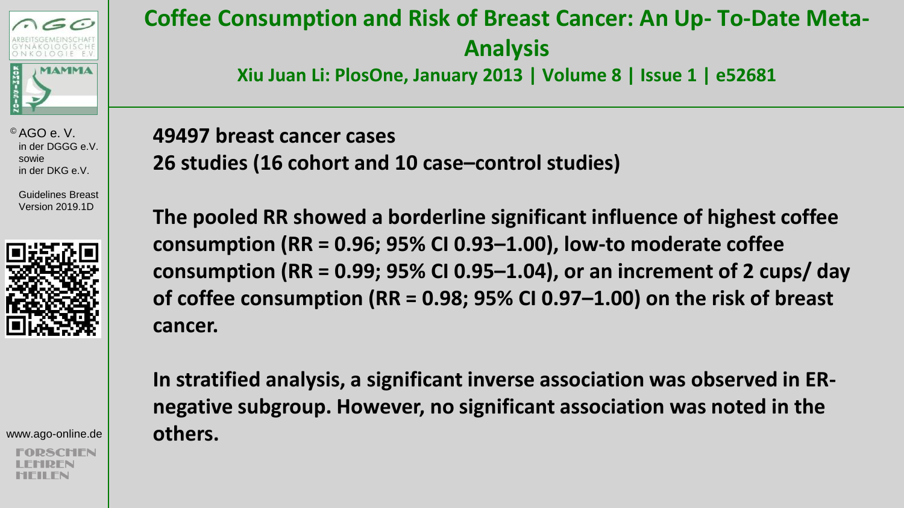

> Guidelines Breast Version 2019.1D



www.ago-online.de

### **Coffee Consumption and Risk of Breast Cancer: An Up- To-Date Meta-Analysis**

**Xiu Juan Li: PlosOne, January 2013 | Volume 8 | Issue 1 | e52681** 

**49497 breast cancer cases 26 studies (16 cohort and 10 case–control studies)** 

**The pooled RR showed a borderline significant influence of highest coffee consumption (RR = 0.96; 95% CI 0.93–1.00), low-to moderate coffee consumption (RR = 0.99; 95% CI 0.95–1.04), or an increment of 2 cups/ day of coffee consumption (RR = 0.98; 95% CI 0.97–1.00) on the risk of breast cancer.** 

**In stratified analysis, a significant inverse association was observed in ERnegative subgroup. However, no significant association was noted in the others.**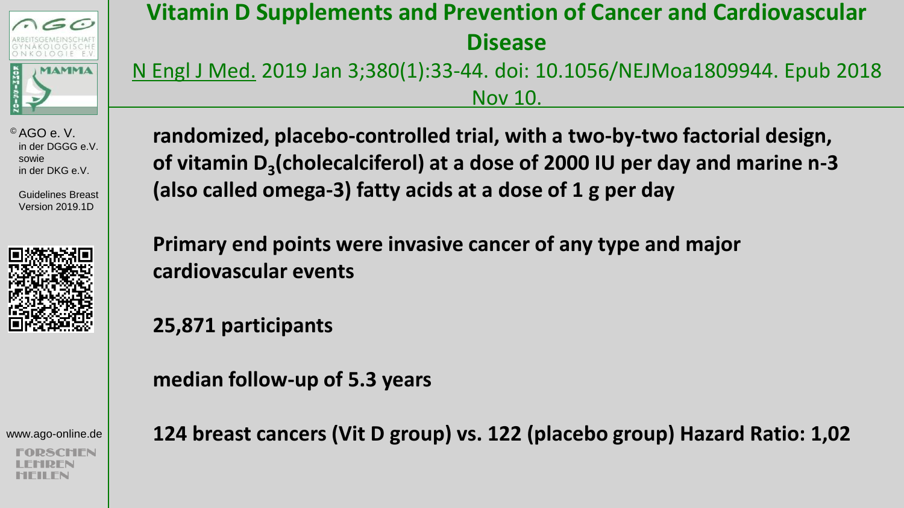

 Guidelines Breast Version 2019.1D



www.ago-online.de

SCHIFN

### **Vitamin D Supplements and Prevention of Cancer and Cardiovascular Disease**

N Engl J Med. 2019 Jan 3;380(1):33-44. doi: 10.1056/NEJMoa1809944. Epub 2018 Nov 10.

**randomized, placebo-controlled trial, with a two-by-two factorial design, of vitamin D<sup>3</sup> (cholecalciferol) at a dose of 2000 IU per day and marine n-3 (also called omega-3) fatty acids at a dose of 1 g per day**

**Primary end points were invasive cancer of any type and major cardiovascular events** 

**25,871 participants**

**median follow-up of 5.3 years**

**124 breast cancers (Vit D group) vs. 122 (placebo group) Hazard Ratio: 1,02**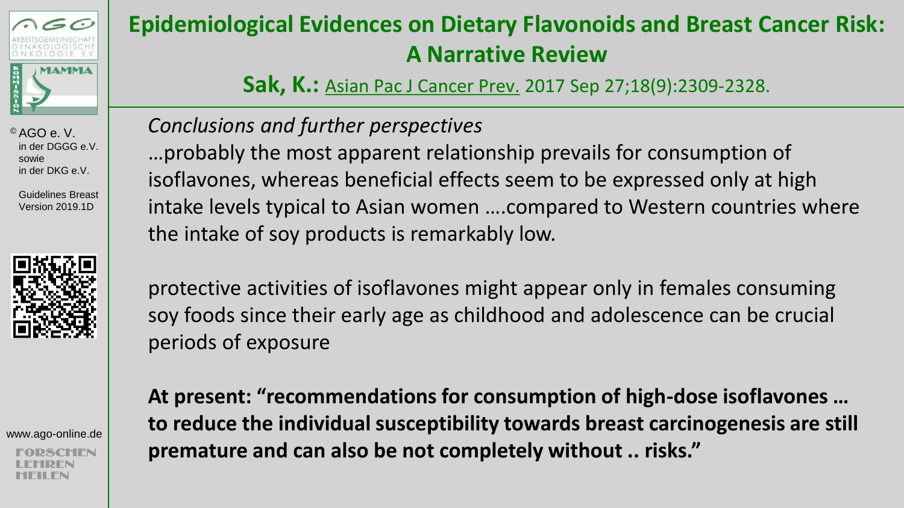

 Guidelines Breast Version 2019.1D



www.ago-online.de

### **Epidemiological Evidences on Dietary Flavonoids and Breast Cancer Risk: A Narrative Review**

**Sak, K.:** Asian Pac J Cancer Prev. 2017 Sep 27;18(9):2309-2328.

### *Conclusions and further perspectives*

…probably the most apparent relationship prevails for consumption of isoflavones, whereas beneficial effects seem to be expressed only at high intake levels typical to Asian women ….compared to Western countries where the intake of soy products is remarkably low.

protective activities of isoflavones might appear only in females consuming soy foods since their early age as childhood and adolescence can be crucial periods of exposure

**At present: "recommendations for consumption of high-dose isoflavones … to reduce the individual susceptibility towards breast carcinogenesis are still premature and can also be not completely without .. risks."**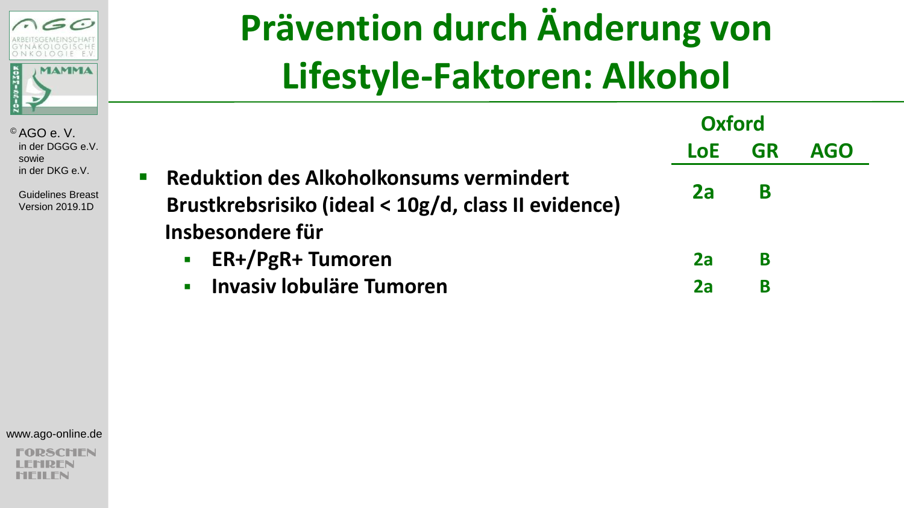

 Guidelines Breast Version 2019.1D

## **Prävention durch Änderung von Lifestyle-Faktoren: Alkohol**

|                                                                                                                                                   | <b>Oxford</b> |           |            |
|---------------------------------------------------------------------------------------------------------------------------------------------------|---------------|-----------|------------|
|                                                                                                                                                   | <b>LoE</b>    | <b>GR</b> | <b>AGO</b> |
| Reduktion des Alkoholkonsums vermindert<br>$\mathcal{L}_{\mathcal{A}}$<br>Brustkrebsrisiko (ideal < 10g/d, class II evidence)<br>Insbesondere für | 2a            | B         |            |
| <b>ER+/PgR+ Tumoren</b>                                                                                                                           | 2a            | В         |            |
| <b>Invasiv lobuläre Tumoren</b><br>$\mathbf{r}$                                                                                                   | 2a            | В         |            |

#### www.ago-online.de

**PSCHEN** REN MFII FN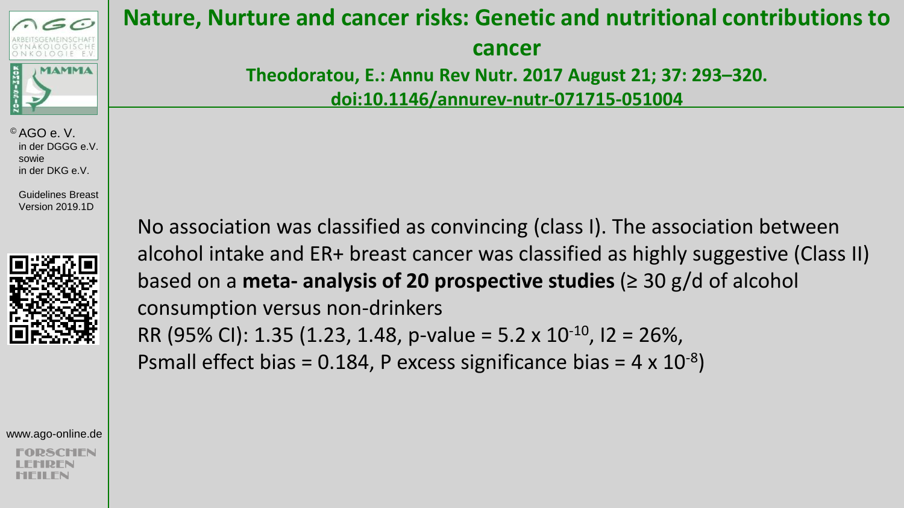

 Guidelines Breast Version 2019.1D



www.ago-online.de

### **Nature, Nurture and cancer risks: Genetic and nutritional contributions to**

**cancer** 

**Theodoratou, E.: Annu Rev Nutr. 2017 August 21; 37: 293–320. doi:10.1146/annurev-nutr-071715-051004** 

No association was classified as convincing (class I). The association between alcohol intake and ER+ breast cancer was classified as highly suggestive (Class II) based on a **meta- analysis of 20 prospective studies** (≥ 30 g/d of alcohol consumption versus non-drinkers RR (95% CI): 1.35 (1.23, 1.48, p-value = 5.2 x 10<sup>-10</sup>, I2 = 26%,

Psmall effect bias = 0.184, P excess significance bias =  $4 \times 10^{-8}$ )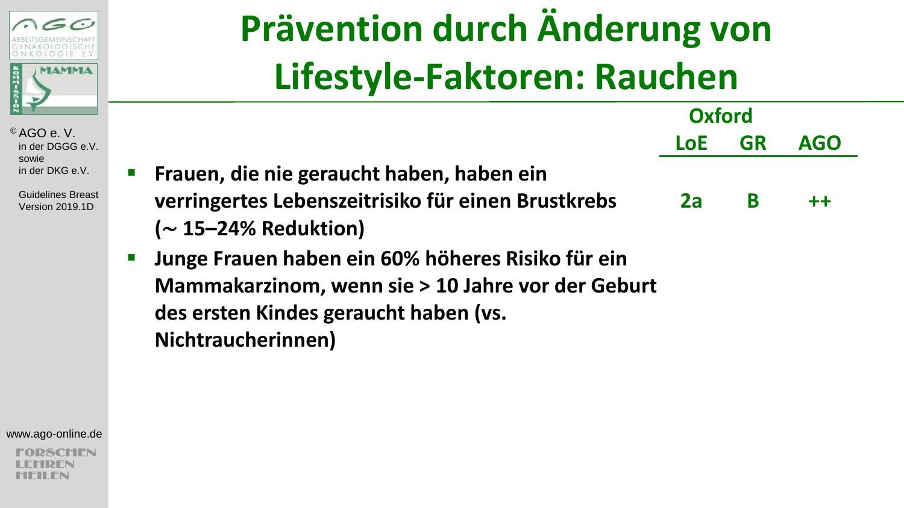

 Guidelines Breast Version 2019.1D

# **Prävention durch Änderung von Lifestyle-Faktoren: Rauchen**

|                                                    | Oxford     |           |            |
|----------------------------------------------------|------------|-----------|------------|
|                                                    | <b>LoE</b> | <b>GR</b> | <b>AGO</b> |
| Frauen, die nie geraucht haben, haben ein          |            |           |            |
| verringertes Lebenszeitrisiko für einen Brustkrebs | 2a         | B         | $+ +$      |
| $(\sim$ 15-24% Reduktion)                          |            |           |            |
| Junge Frauen haben ein 60% höheres Risiko für ein  |            |           |            |
| Mammakarzinom, wenn sie > 10 Jahre vor der Geburt  |            |           |            |
| des ersten Kindes geraucht haben (vs.              |            |           |            |
| Nichtraucherinnen)                                 |            |           |            |

www.ago-online.de

**2SCHEN** RFN 'II FN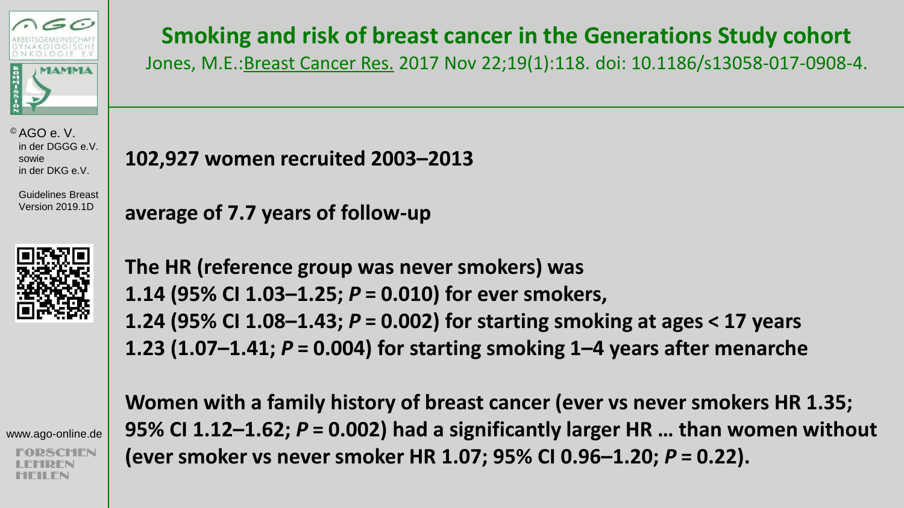

 Guidelines Breast Version 2019.1D



www.ago-online.de

### **Smoking and risk of breast cancer in the Generations Study cohort**

Jones, M.E.:Breast Cancer Res. 2017 Nov 22;19(1):118. doi: 10.1186/s13058-017-0908-4.

**102,927 women recruited 2003–2013**

**average of 7.7 years of follow-up**

**The HR (reference group was never smokers) was 1.14 (95% CI 1.03–1.25;** *P***= 0.010) for ever smokers, 1.24 (95% CI 1.08–1.43;** *P***= 0.002) for starting smoking at ages < 17 years 1.23 (1.07–1.41;** *P***= 0.004) for starting smoking 1–4 years after menarche**

**Women with a family history of breast cancer (ever vs never smokers HR 1.35; 95% CI 1.12–1.62;** *P***= 0.002) had a significantly larger HR … than women without (ever smoker vs never smoker HR 1.07; 95% CI 0.96–1.20;** *P***= 0.22).**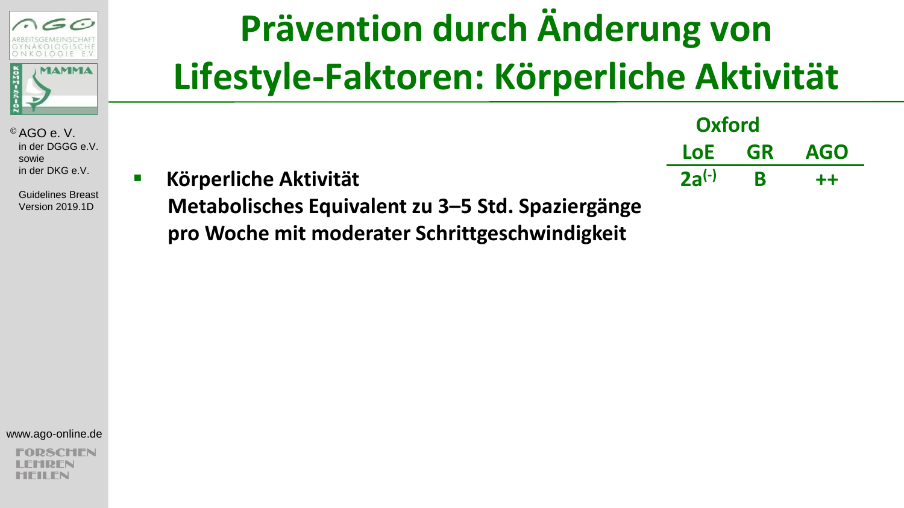

 Guidelines Breast Version 2019.1D

## **Prävention durch Änderung von Lifestyle-Faktoren: Körperliche Aktivität**

|                                                   | <b>UAIUI U</b> |           |            |
|---------------------------------------------------|----------------|-----------|------------|
|                                                   | LoE            | <b>GR</b> | <b>AGO</b> |
| Körperliche Aktivität                             | $2a^{(-)}$ R   |           | $+ +$      |
| Metabolisches Equivalent zu 3–5 Std. Spaziergänge |                |           |            |

**Oxford**

**pro Woche mit moderater Schrittgeschwindigkeit**

www.ago-online.de

SCHEN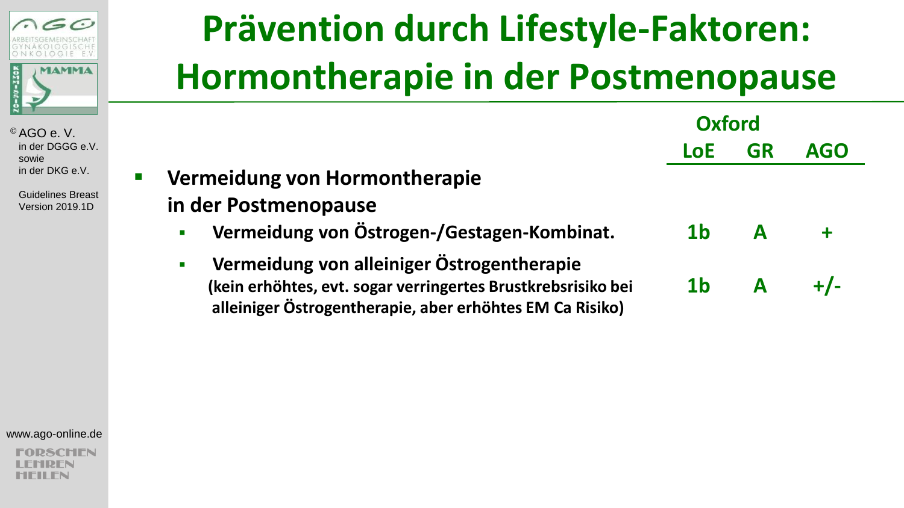

> Guidelines Breast Version 2019.1D

## **Prävention durch Lifestyle-Faktoren: Hormontherapie in der Postmenopause**

|                                                                                                                                                                                          | Oxford         |              |            |
|------------------------------------------------------------------------------------------------------------------------------------------------------------------------------------------|----------------|--------------|------------|
|                                                                                                                                                                                          | <b>LoE</b>     | <b>GR</b>    | <b>AGO</b> |
| Vermeidung von Hormontherapie<br>$\mathbf{r}$                                                                                                                                            |                |              |            |
| in der Postmenopause                                                                                                                                                                     |                |              |            |
| Vermeidung von Östrogen-/Gestagen-Kombinat.<br>$\blacksquare$                                                                                                                            | 1 <sub>b</sub> | A            |            |
| Vermeidung von alleiniger Östrogentherapie<br>$\blacksquare$<br>(kein erhöhtes, evt. sogar verringertes Brustkrebsrisiko bei<br>alleiniger Östrogentherapie, aber erhöhtes EM Ca Risiko) | 1 <sub>b</sub> | $\mathbf{A}$ |            |

www.ago-online.de

**SCHEN** DFN II FN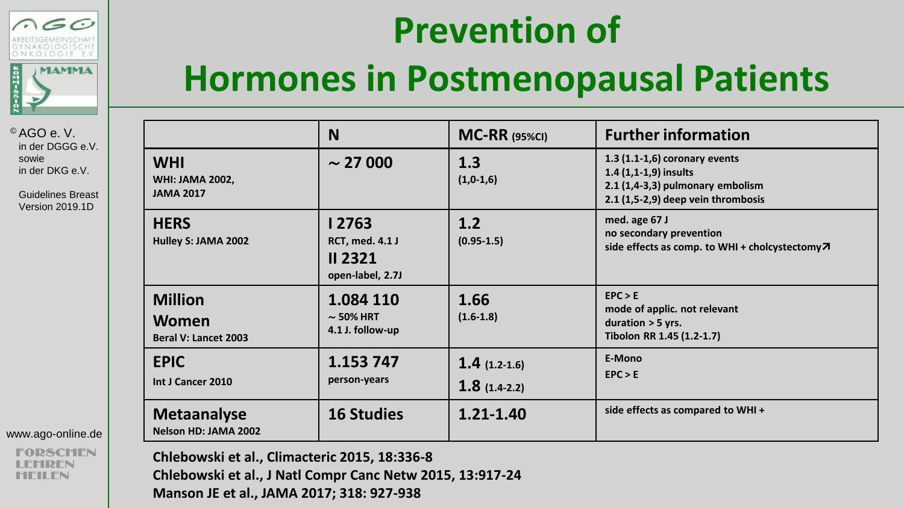



|                                                          | N                                                                     | <b>MC-RR (95%CI)</b>             | <b>Further information</b>                                                                                                            |
|----------------------------------------------------------|-----------------------------------------------------------------------|----------------------------------|---------------------------------------------------------------------------------------------------------------------------------------|
| <b>WHI</b><br><b>WHI: JAMA 2002,</b><br><b>JAMA 2017</b> | $\sim$ 27 000                                                         | 1.3<br>$(1,0-1,6)$               | $1.3$ $(1.1-1.6)$ coronary events<br>$1.4(1,1-1,9)$ insults<br>2.1 (1,4-3,3) pulmonary embolism<br>2.1 (1,5-2,9) deep vein thrombosis |
| <b>HERS</b><br>Hulley S: JAMA 2002                       | 12763<br><b>RCT, med. 4.1 J</b><br><b>II 2321</b><br>open-label, 2.7J | 1.2<br>$(0.95 - 1.5)$            | med. age 67 J<br>no secondary prevention<br>side effects as comp. to WHI + cholcystectomy $\pi$                                       |
| <b>Million</b><br>Women<br><b>Beral V: Lancet 2003</b>   | 1.084 110<br>$\sim$ 50% HRT<br>4.1 J. follow-up                       | 1.66<br>$(1.6 - 1.8)$            | EPC > E<br>mode of applic. not relevant<br>duration $>$ 5 yrs.<br>Tibolon RR 1.45 (1.2-1.7)                                           |
| <b>EPIC</b><br>Int J Cancer 2010                         | 1.153 747<br>person-years                                             | $1.4(1.2-1.6)$<br>$1.8(1.4-2.2)$ | E-Mono<br>EPC > E                                                                                                                     |
| <b>Metaanalyse</b><br>Nelson HD: JAMA 2002               | <b>16 Studies</b>                                                     | $1.21 - 1.40$                    | side effects as compared to WHI+                                                                                                      |

SCHEN **Chlebowski et al., Climacteric 2015, 18:336-8 Chlebowski et al., J Natl Compr Canc Netw 2015, 13:917-24**

**Manson JE et al., JAMA 2017; 318: 927-938**

© AGO e. V. in der DGGG e.V. sowie in der DKG e.V.

 $\leq$   $\sim$ 

**MAMMA** 

 $\frac{1}{2}$ 

 Guidelines Breast Version 2019.1D

www.ago-online.de

DFN MFII FN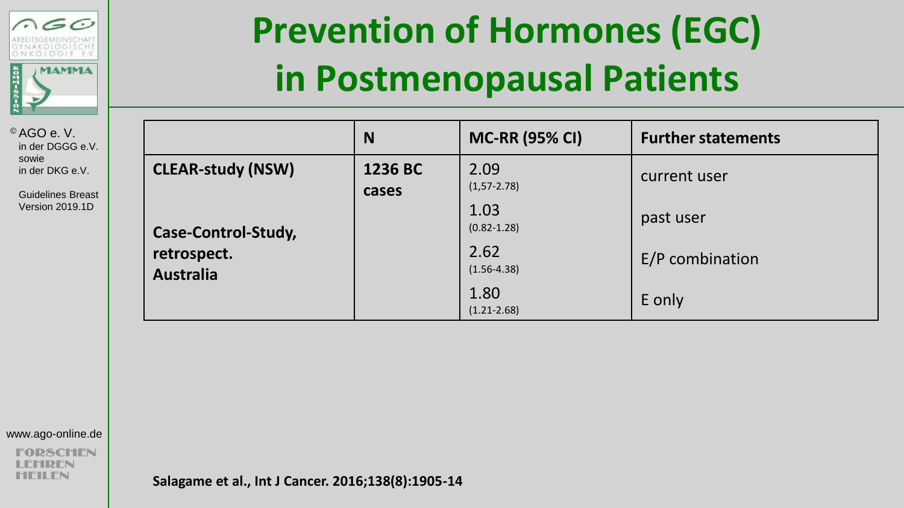

 Guidelines Breast Version 2019.1D

### **Prevention of Hormones (EGC) in Postmenopausal Patients**

|                                 | N                | <b>MC-RR (95% CI)</b>    | <b>Further statements</b> |
|---------------------------------|------------------|--------------------------|---------------------------|
| <b>CLEAR-study (NSW)</b>        | 1236 BC<br>cases | 2.09<br>$(1, 57 - 2.78)$ | current user              |
| Case-Control-Study,             |                  | 1.03<br>$(0.82 - 1.28)$  | past user                 |
| retrospect.<br><b>Australia</b> |                  | 2.62<br>$(1.56 - 4.38)$  | E/P combination           |
|                                 |                  | 1.80<br>$(1.21 - 2.68)$  | E only                    |

www.ago-online.de

**2SCHEN** 1DFN MFII FN

**Salagame et al., Int J Cancer. 2016;138(8):1905-14**